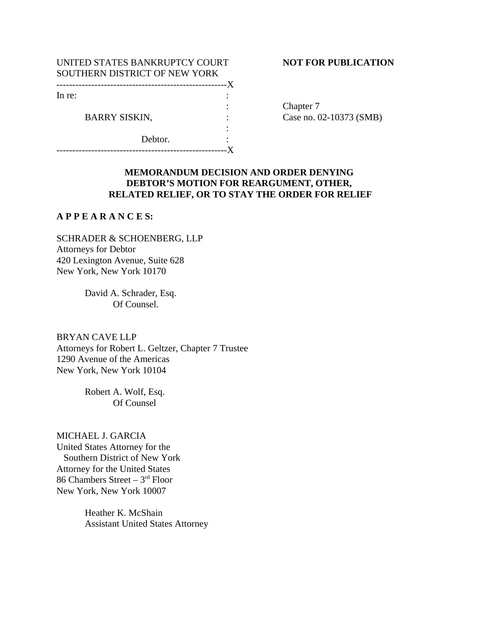| UNITED STATES BANKRUPTCY COURT |  |
|--------------------------------|--|
| SOUTHERN DISTRICT OF NEW YORK  |  |
|                                |  |
| In re:                         |  |
|                                |  |
| <b>BARRY SISKIN,</b>           |  |
|                                |  |
| Debtor.                        |  |
|                                |  |

## **NOT FOR PUBLICATION**

Chapter 7 Case no. 02-10373 (SMB)

# **MEMORANDUM DECISION AND ORDER DENYING DEBTOR'S MOTION FOR REARGUMENT, OTHER, RELATED RELIEF, OR TO STAY THE ORDER FOR RELIEF**

# **A P P E A R A N C E S:**

SCHRADER & SCHOENBERG, LLP Attorneys for Debtor 420 Lexington Avenue, Suite 628 New York, New York 10170

> David A. Schrader, Esq. Of Counsel.

BRYAN CAVE LLP Attorneys for Robert L. Geltzer, Chapter 7 Trustee 1290 Avenue of the Americas New York, New York 10104

> Robert A. Wolf, Esq. Of Counsel

#### MICHAEL J. GARCIA

United States Attorney for the Southern District of New York Attorney for the United States 86 Chambers Street –  $3<sup>rd</sup>$  Floor New York, New York 10007

> Heather K. McShain Assistant United States Attorney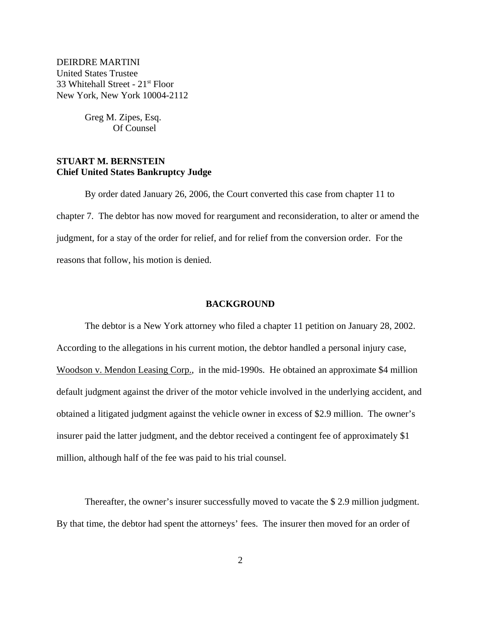DEIRDRE MARTINI United States Trustee 33 Whitehall Street - 21st Floor New York, New York 10004-2112

> Greg M. Zipes, Esq. Of Counsel

# **STUART M. BERNSTEIN Chief United States Bankruptcy Judge**

By order dated January 26, 2006, the Court converted this case from chapter 11 to chapter 7. The debtor has now moved for reargument and reconsideration, to alter or amend the judgment, for a stay of the order for relief, and for relief from the conversion order. For the reasons that follow, his motion is denied.

## **BACKGROUND**

The debtor is a New York attorney who filed a chapter 11 petition on January 28, 2002. According to the allegations in his current motion, the debtor handled a personal injury case, Woodson v. Mendon Leasing Corp., in the mid-1990s. He obtained an approximate \$4 million default judgment against the driver of the motor vehicle involved in the underlying accident, and obtained a litigated judgment against the vehicle owner in excess of \$2.9 million. The owner's insurer paid the latter judgment, and the debtor received a contingent fee of approximately \$1 million, although half of the fee was paid to his trial counsel.

Thereafter, the owner's insurer successfully moved to vacate the \$ 2.9 million judgment. By that time, the debtor had spent the attorneys' fees. The insurer then moved for an order of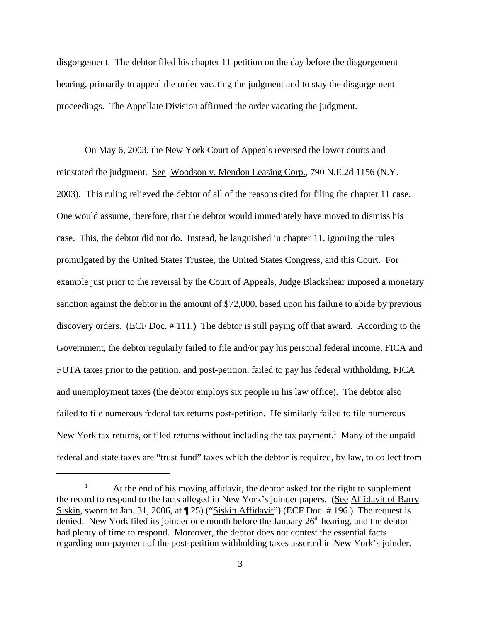disgorgement. The debtor filed his chapter 11 petition on the day before the disgorgement hearing, primarily to appeal the order vacating the judgment and to stay the disgorgement proceedings. The Appellate Division affirmed the order vacating the judgment.

On May 6, 2003, the New York Court of Appeals reversed the lower courts and reinstated the judgment. See Woodson v. Mendon Leasing Corp., 790 N.E.2d 1156 (N.Y. 2003). This ruling relieved the debtor of all of the reasons cited for filing the chapter 11 case. One would assume, therefore, that the debtor would immediately have moved to dismiss his case. This, the debtor did not do. Instead, he languished in chapter 11, ignoring the rules promulgated by the United States Trustee, the United States Congress, and this Court. For example just prior to the reversal by the Court of Appeals, Judge Blackshear imposed a monetary sanction against the debtor in the amount of \$72,000, based upon his failure to abide by previous discovery orders. (ECF Doc. # 111.) The debtor is still paying off that award. According to the Government, the debtor regularly failed to file and/or pay his personal federal income, FICA and FUTA taxes prior to the petition, and post-petition, failed to pay his federal withholding, FICA and unemployment taxes (the debtor employs six people in his law office). The debtor also failed to file numerous federal tax returns post-petition. He similarly failed to file numerous New York tax returns, or filed returns without including the tax payment.<sup>1</sup> Many of the unpaid federal and state taxes are "trust fund" taxes which the debtor is required, by law, to collect from

<sup>&</sup>lt;sup>1</sup> At the end of his moving affidavit, the debtor asked for the right to supplement the record to respond to the facts alleged in New York's joinder papers. (See Affidavit of Barry Siskin, sworn to Jan. 31, 2006, at ¶ 25) ("Siskin Affidavit") (ECF Doc. # 196.) The request is denied. New York filed its joinder one month before the January  $26<sup>th</sup>$  hearing, and the debtor had plenty of time to respond. Moreover, the debtor does not contest the essential facts regarding non-payment of the post-petition withholding taxes asserted in New York's joinder.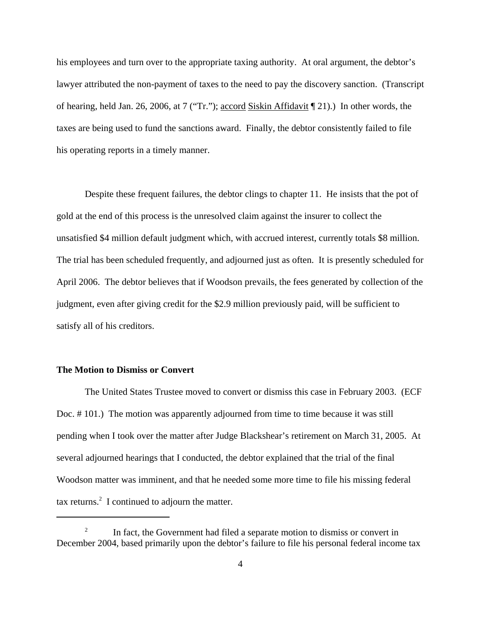his employees and turn over to the appropriate taxing authority. At oral argument, the debtor's lawyer attributed the non-payment of taxes to the need to pay the discovery sanction. (Transcript of hearing, held Jan. 26, 2006, at 7 ("Tr."); accord Siskin Affidavit ¶ 21).) In other words, the taxes are being used to fund the sanctions award. Finally, the debtor consistently failed to file his operating reports in a timely manner.

Despite these frequent failures, the debtor clings to chapter 11. He insists that the pot of gold at the end of this process is the unresolved claim against the insurer to collect the unsatisfied \$4 million default judgment which, with accrued interest, currently totals \$8 million. The trial has been scheduled frequently, and adjourned just as often. It is presently scheduled for April 2006. The debtor believes that if Woodson prevails, the fees generated by collection of the judgment, even after giving credit for the \$2.9 million previously paid, will be sufficient to satisfy all of his creditors.

## **The Motion to Dismiss or Convert**

The United States Trustee moved to convert or dismiss this case in February 2003. (ECF Doc. # 101.) The motion was apparently adjourned from time to time because it was still pending when I took over the matter after Judge Blackshear's retirement on March 31, 2005. At several adjourned hearings that I conducted, the debtor explained that the trial of the final Woodson matter was imminent, and that he needed some more time to file his missing federal tax returns.<sup>2</sup> I continued to adjourn the matter.

 $2^2$  In fact, the Government had filed a separate motion to dismiss or convert in December 2004, based primarily upon the debtor's failure to file his personal federal income tax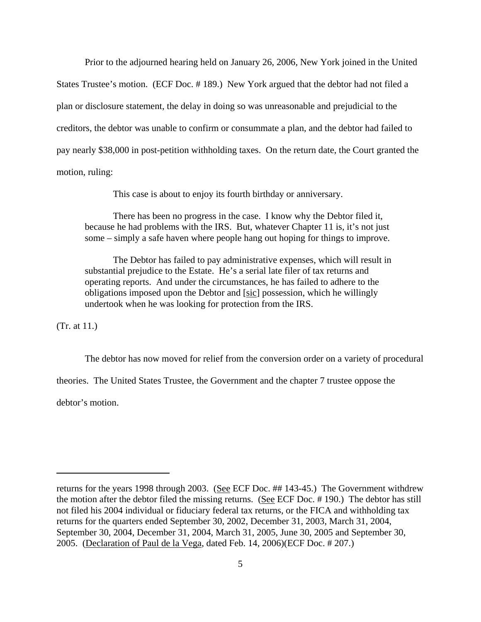Prior to the adjourned hearing held on January 26, 2006, New York joined in the United States Trustee's motion. (ECF Doc. # 189.) New York argued that the debtor had not filed a plan or disclosure statement, the delay in doing so was unreasonable and prejudicial to the creditors, the debtor was unable to confirm or consummate a plan, and the debtor had failed to pay nearly \$38,000 in post-petition withholding taxes. On the return date, the Court granted the motion, ruling:

This case is about to enjoy its fourth birthday or anniversary.

There has been no progress in the case. I know why the Debtor filed it, because he had problems with the IRS. But, whatever Chapter 11 is, it's not just some – simply a safe haven where people hang out hoping for things to improve.

The Debtor has failed to pay administrative expenses, which will result in substantial prejudice to the Estate. He's a serial late filer of tax returns and operating reports. And under the circumstances, he has failed to adhere to the obligations imposed upon the Debtor and [sic] possession, which he willingly undertook when he was looking for protection from the IRS.

(Tr. at 11.)

The debtor has now moved for relief from the conversion order on a variety of procedural

theories. The United States Trustee, the Government and the chapter 7 trustee oppose the

debtor's motion.

returns for the years 1998 through 2003. (See ECF Doc. ## 143-45.) The Government withdrew the motion after the debtor filed the missing returns. (See ECF Doc. # 190.) The debtor has still not filed his 2004 individual or fiduciary federal tax returns, or the FICA and withholding tax returns for the quarters ended September 30, 2002, December 31, 2003, March 31, 2004, September 30, 2004, December 31, 2004, March 31, 2005, June 30, 2005 and September 30, 2005. (Declaration of Paul de la Vega, dated Feb. 14, 2006)(ECF Doc. # 207.)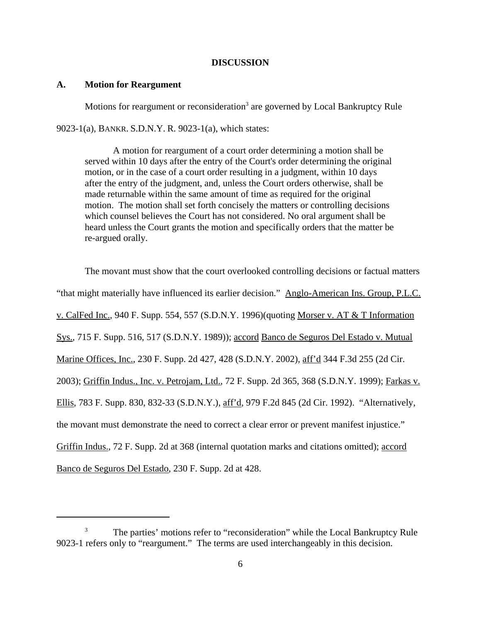## **DISCUSSION**

## **A. Motion for Reargument**

Motions for reargument or reconsideration<sup>3</sup> are governed by Local Bankruptcy Rule

9023-1(a), BANKR. S.D.N.Y. R. 9023-1(a), which states:

A motion for reargument of a court order determining a motion shall be served within 10 days after the entry of the Court's order determining the original motion, or in the case of a court order resulting in a judgment, within 10 days after the entry of the judgment, and, unless the Court orders otherwise, shall be made returnable within the same amount of time as required for the original motion. The motion shall set forth concisely the matters or controlling decisions which counsel believes the Court has not considered. No oral argument shall be heard unless the Court grants the motion and specifically orders that the matter be re-argued orally.

The movant must show that the court overlooked controlling decisions or factual matters "that might materially have influenced its earlier decision." Anglo-American Ins. Group, P.L.C. v. CalFed Inc., 940 F. Supp. 554, 557 (S.D.N.Y. 1996)(quoting Morser v. AT & T Information Sys., 715 F. Supp. 516, 517 (S.D.N.Y. 1989)); accord Banco de Seguros Del Estado v. Mutual Marine Offices, Inc., 230 F. Supp. 2d 427, 428 (S.D.N.Y. 2002), aff'd 344 F.3d 255 (2d Cir. 2003); Griffin Indus., Inc. v. Petrojam, Ltd., 72 F. Supp. 2d 365, 368 (S.D.N.Y. 1999); Farkas v. Ellis, 783 F. Supp. 830, 832-33 (S.D.N.Y.), aff'd, 979 F.2d 845 (2d Cir. 1992). "Alternatively, the movant must demonstrate the need to correct a clear error or prevent manifest injustice." Griffin Indus., 72 F. Supp. 2d at 368 (internal quotation marks and citations omitted); accord Banco de Seguros Del Estado, 230 F. Supp. 2d at 428.

<sup>&</sup>lt;sup>3</sup> The parties' motions refer to "reconsideration" while the Local Bankruptcy Rule 9023-1 refers only to "reargument." The terms are used interchangeably in this decision.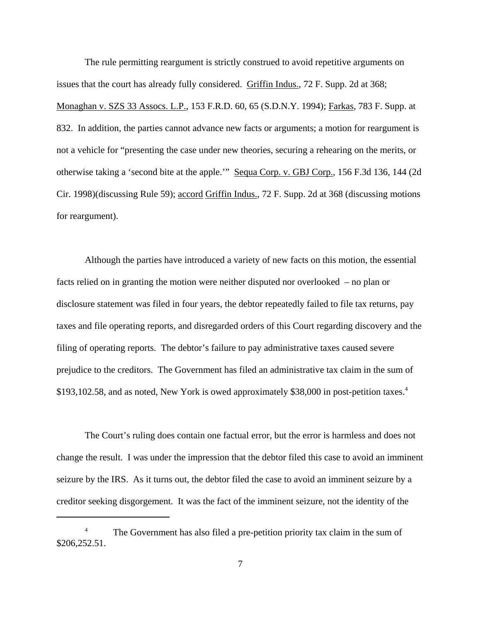The rule permitting reargument is strictly construed to avoid repetitive arguments on issues that the court has already fully considered. Griffin Indus., 72 F. Supp. 2d at 368; Monaghan v. SZS 33 Assocs. L.P., 153 F.R.D. 60, 65 (S.D.N.Y. 1994); Farkas, 783 F. Supp. at 832. In addition, the parties cannot advance new facts or arguments; a motion for reargument is not a vehicle for "presenting the case under new theories, securing a rehearing on the merits, or otherwise taking a 'second bite at the apple.'" Sequa Corp. v. GBJ Corp., 156 F.3d 136, 144 (2d Cir. 1998)(discussing Rule 59); accord Griffin Indus., 72 F. Supp. 2d at 368 (discussing motions for reargument).

Although the parties have introduced a variety of new facts on this motion, the essential facts relied on in granting the motion were neither disputed nor overlooked – no plan or disclosure statement was filed in four years, the debtor repeatedly failed to file tax returns, pay taxes and file operating reports, and disregarded orders of this Court regarding discovery and the filing of operating reports. The debtor's failure to pay administrative taxes caused severe prejudice to the creditors. The Government has filed an administrative tax claim in the sum of \$193,102.58, and as noted, New York is owed approximately \$38,000 in post-petition taxes.<sup>4</sup>

The Court's ruling does contain one factual error, but the error is harmless and does not change the result. I was under the impression that the debtor filed this case to avoid an imminent seizure by the IRS. As it turns out, the debtor filed the case to avoid an imminent seizure by a creditor seeking disgorgement. It was the fact of the imminent seizure, not the identity of the

<sup>&</sup>lt;sup>4</sup> The Government has also filed a pre-petition priority tax claim in the sum of \$206,252.51.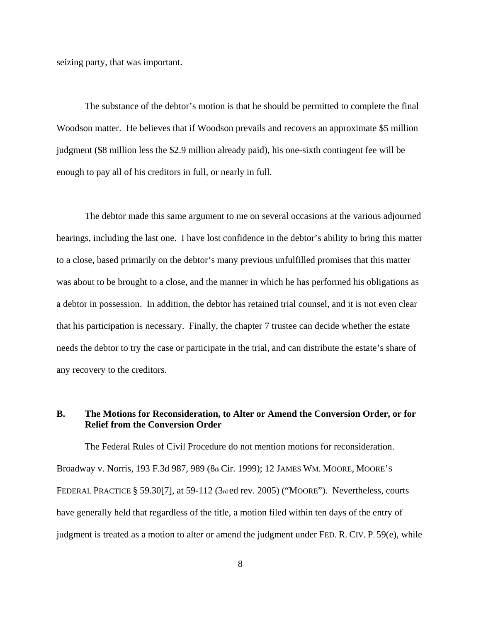seizing party, that was important.

The substance of the debtor's motion is that he should be permitted to complete the final Woodson matter. He believes that if Woodson prevails and recovers an approximate \$5 million judgment (\$8 million less the \$2.9 million already paid), his one-sixth contingent fee will be enough to pay all of his creditors in full, or nearly in full.

The debtor made this same argument to me on several occasions at the various adjourned hearings, including the last one. I have lost confidence in the debtor's ability to bring this matter to a close, based primarily on the debtor's many previous unfulfilled promises that this matter was about to be brought to a close, and the manner in which he has performed his obligations as a debtor in possession. In addition, the debtor has retained trial counsel, and it is not even clear that his participation is necessary. Finally, the chapter 7 trustee can decide whether the estate needs the debtor to try the case or participate in the trial, and can distribute the estate's share of any recovery to the creditors.

# **B. The Motions for Reconsideration, to Alter or Amend the Conversion Order, or for Relief from the Conversion Order**

The Federal Rules of Civil Procedure do not mention motions for reconsideration. Broadway v. Norris, 193 F.3d 987, 989 (8th Cir. 1999); 12 JAMES WM. MOORE, MOORE'S FEDERAL PRACTICE § 59.30[7], at 59-112 (3rd ed rev. 2005) ("MOORE"). Nevertheless, courts have generally held that regardless of the title, a motion filed within ten days of the entry of judgment is treated as a motion to alter or amend the judgment under FED. R. CIV. P. 59(e), while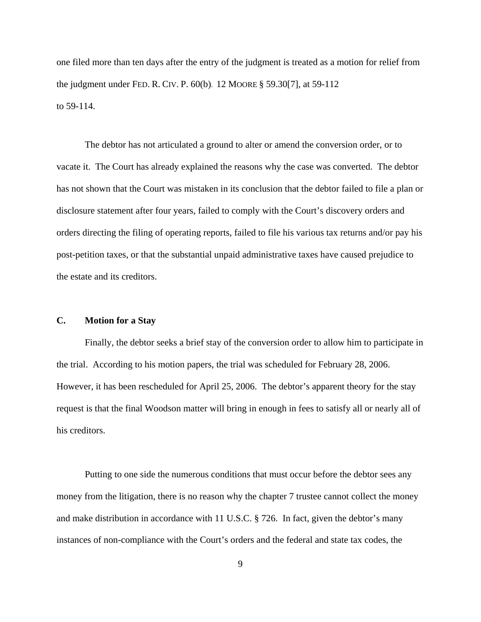one filed more than ten days after the entry of the judgment is treated as a motion for relief from the judgment under FED. R. CIV. P. 60(b). 12 MOORE § 59.30[7], at 59-112 to 59-114.

The debtor has not articulated a ground to alter or amend the conversion order, or to vacate it. The Court has already explained the reasons why the case was converted. The debtor has not shown that the Court was mistaken in its conclusion that the debtor failed to file a plan or disclosure statement after four years, failed to comply with the Court's discovery orders and orders directing the filing of operating reports, failed to file his various tax returns and/or pay his post-petition taxes, or that the substantial unpaid administrative taxes have caused prejudice to the estate and its creditors.

# **C. Motion for a Stay**

Finally, the debtor seeks a brief stay of the conversion order to allow him to participate in the trial. According to his motion papers, the trial was scheduled for February 28, 2006. However, it has been rescheduled for April 25, 2006. The debtor's apparent theory for the stay request is that the final Woodson matter will bring in enough in fees to satisfy all or nearly all of his creditors.

Putting to one side the numerous conditions that must occur before the debtor sees any money from the litigation, there is no reason why the chapter 7 trustee cannot collect the money and make distribution in accordance with 11 U.S.C. § 726. In fact, given the debtor's many instances of non-compliance with the Court's orders and the federal and state tax codes, the